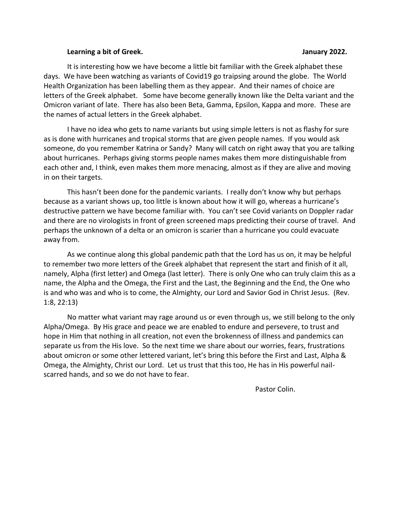#### **Learning a bit of Greek. January 2022.**

It is interesting how we have become a little bit familiar with the Greek alphabet these days. We have been watching as variants of Covid19 go traipsing around the globe. The World Health Organization has been labelling them as they appear. And their names of choice are letters of the Greek alphabet. Some have become generally known like the Delta variant and the Omicron variant of late. There has also been Beta, Gamma, Epsilon, Kappa and more. These are the names of actual letters in the Greek alphabet.

I have no idea who gets to name variants but using simple letters is not as flashy for sure as is done with hurricanes and tropical storms that are given people names. If you would ask someone, do you remember Katrina or Sandy? Many will catch on right away that you are talking about hurricanes. Perhaps giving storms people names makes them more distinguishable from each other and, I think, even makes them more menacing, almost as if they are alive and moving in on their targets.

This hasn't been done for the pandemic variants. I really don't know why but perhaps because as a variant shows up, too little is known about how it will go, whereas a hurricane's destructive pattern we have become familiar with. You can't see Covid variants on Doppler radar and there are no virologists in front of green screened maps predicting their course of travel. And perhaps the unknown of a delta or an omicron is scarier than a hurricane you could evacuate away from.

As we continue along this global pandemic path that the Lord has us on, it may be helpful to remember two more letters of the Greek alphabet that represent the start and finish of it all, namely, Alpha (first letter) and Omega (last letter). There is only One who can truly claim this as a name, the Alpha and the Omega, the First and the Last, the Beginning and the End, the One who is and who was and who is to come, the Almighty, our Lord and Savior God in Christ Jesus. (Rev. 1:8, 22:13)

No matter what variant may rage around us or even through us, we still belong to the only Alpha/Omega. By His grace and peace we are enabled to endure and persevere, to trust and hope in Him that nothing in all creation, not even the brokenness of illness and pandemics can separate us from the His love. So the next time we share about our worries, fears, frustrations about omicron or some other lettered variant, let's bring this before the First and Last, Alpha & Omega, the Almighty, Christ our Lord. Let us trust that this too, He has in His powerful nailscarred hands, and so we do not have to fear.

Pastor Colin.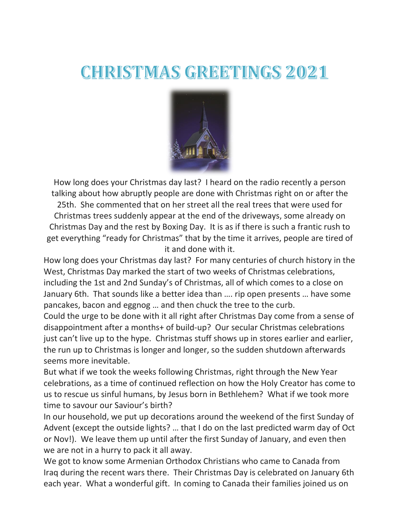# **CHRISTMAS GREETINGS 2021**



How long does your Christmas day last? I heard on the radio recently a person talking about how abruptly people are done with Christmas right on or after the 25th. She commented that on her street all the real trees that were used for Christmas trees suddenly appear at the end of the driveways, some already on Christmas Day and the rest by Boxing Day. It is as if there is such a frantic rush to get everything "ready for Christmas" that by the time it arrives, people are tired of it and done with it.

How long does your Christmas day last? For many centuries of church history in the West, Christmas Day marked the start of two weeks of Christmas celebrations, including the 1st and 2nd Sunday's of Christmas, all of which comes to a close on January 6th. That sounds like a better idea than …. rip open presents … have some pancakes, bacon and eggnog … and then chuck the tree to the curb.

Could the urge to be done with it all right after Christmas Day come from a sense of disappointment after a months+ of build-up? Our secular Christmas celebrations just can't live up to the hype. Christmas stuff shows up in stores earlier and earlier, the run up to Christmas is longer and longer, so the sudden shutdown afterwards seems more inevitable.

But what if we took the weeks following Christmas, right through the New Year celebrations, as a time of continued reflection on how the Holy Creator has come to us to rescue us sinful humans, by Jesus born in Bethlehem? What if we took more time to savour our Saviour's birth?

In our household, we put up decorations around the weekend of the first Sunday of Advent (except the outside lights? … that I do on the last predicted warm day of Oct or Nov!). We leave them up until after the first Sunday of January, and even then we are not in a hurry to pack it all away.

We got to know some Armenian Orthodox Christians who came to Canada from Iraq during the recent wars there. Their Christmas Day is celebrated on January 6th each year. What a wonderful gift. In coming to Canada their families joined us on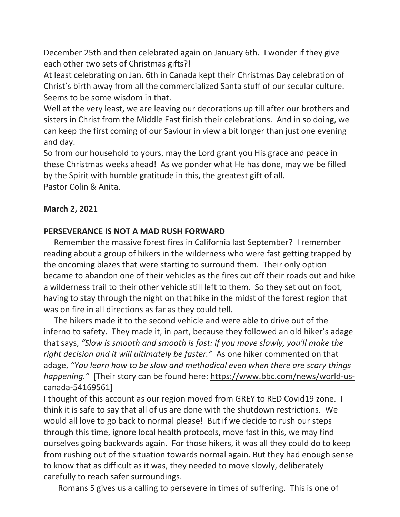December 25th and then celebrated again on January 6th. I wonder if they give each other two sets of Christmas gifts?!

At least celebrating on Jan. 6th in Canada kept their Christmas Day celebration of Christ's birth away from all the commercialized Santa stuff of our secular culture. Seems to be some wisdom in that.

Well at the very least, we are leaving our decorations up till after our brothers and sisters in Christ from the Middle East finish their celebrations. And in so doing, we can keep the first coming of our Saviour in view a bit longer than just one evening and day.

So from our household to yours, may the Lord grant you His grace and peace in these Christmas weeks ahead! As we ponder what He has done, may we be filled by the Spirit with humble gratitude in this, the greatest gift of all. Pastor Colin & Anita.

# **March 2, 2021**

# **PERSEVERANCE IS NOT A MAD RUSH FORWARD**

Remember the massive forest fires in California last September? I remember reading about a group of hikers in the wilderness who were fast getting trapped by the oncoming blazes that were starting to surround them. Their only option became to abandon one of their vehicles as the fires cut off their roads out and hike a wilderness trail to their other vehicle still left to them. So they set out on foot, having to stay through the night on that hike in the midst of the forest region that was on fire in all directions as far as they could tell.

The hikers made it to the second vehicle and were able to drive out of the inferno to safety. They made it, in part, because they followed an old hiker's adage that says, *"Slow is smooth and smooth is fast: if you move slowly, you'll make the right decision and it will ultimately be faster."* As one hiker commented on that adage, *"You learn how to be slow and methodical even when there are scary things happening."* [Their story can be found here: [https://www.bbc.com/news/world-us](https://bethanycrc.us13.list-manage.com/track/click?u=576b4a93c010323a5437d9098&id=8679b5f1d4&e=ff8cac7966)[canada-54169561\]](https://bethanycrc.us13.list-manage.com/track/click?u=576b4a93c010323a5437d9098&id=8679b5f1d4&e=ff8cac7966)

I thought of this account as our region moved from GREY to RED Covid19 zone. I think it is safe to say that all of us are done with the shutdown restrictions. We would all love to go back to normal please! But if we decide to rush our steps through this time, ignore local health protocols, move fast in this, we may find ourselves going backwards again. For those hikers, it was all they could do to keep from rushing out of the situation towards normal again. But they had enough sense to know that as difficult as it was, they needed to move slowly, deliberately carefully to reach safer surroundings.

Romans 5 gives us a calling to persevere in times of suffering. This is one of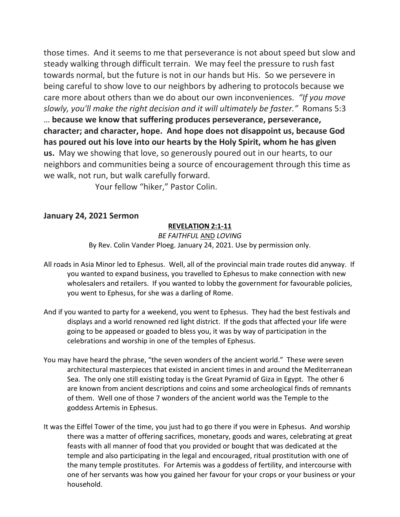those times. And it seems to me that perseverance is not about speed but slow and steady walking through difficult terrain. We may feel the pressure to rush fast towards normal, but the future is not in our hands but His. So we persevere in being careful to show love to our neighbors by adhering to protocols because we care more about others than we do about our own inconveniences. *"If you move slowly, you'll make the right decision and it will ultimately be faster."* Romans 5:3 … **because we know that suffering produces perseverance, perseverance, character; and character, hope. And hope does not disappoint us, because God has poured out his love into our hearts by the Holy Spirit, whom he has given us.** May we showing that love, so generously poured out in our hearts, to our neighbors and communities being a source of encouragement through this time as we walk, not run, but walk carefully forward.

Your fellow "hiker," Pastor Colin.

## **January 24, 2021 Sermon**

## **REVELATION 2:1-11**

*BE FAITHFUL* AND *LOVING* By Rev. Colin Vander Ploeg. January 24, 2021. Use by permission only.

- All roads in Asia Minor led to Ephesus. Well, all of the provincial main trade routes did anyway. If you wanted to expand business, you travelled to Ephesus to make connection with new wholesalers and retailers. If you wanted to lobby the government for favourable policies, you went to Ephesus, for she was a darling of Rome.
- And if you wanted to party for a weekend, you went to Ephesus. They had the best festivals and displays and a world renowned red light district. If the gods that affected your life were going to be appeased or goaded to bless you, it was by way of participation in the celebrations and worship in one of the temples of Ephesus.
- You may have heard the phrase, "the seven wonders of the ancient world." These were seven architectural masterpieces that existed in ancient times in and around the Mediterranean Sea. The only one still existing today is the Great Pyramid of Giza in Egypt. The other 6 are known from ancient descriptions and coins and some archeological finds of remnants of them. Well one of those 7 wonders of the ancient world was the Temple to the goddess Artemis in Ephesus.
- It was the Eiffel Tower of the time, you just had to go there if you were in Ephesus. And worship there was a matter of offering sacrifices, monetary, goods and wares, celebrating at great feasts with all manner of food that you provided or bought that was dedicated at the temple and also participating in the legal and encouraged, ritual prostitution with one of the many temple prostitutes. For Artemis was a goddess of fertility, and intercourse with one of her servants was how you gained her favour for your crops or your business or your household.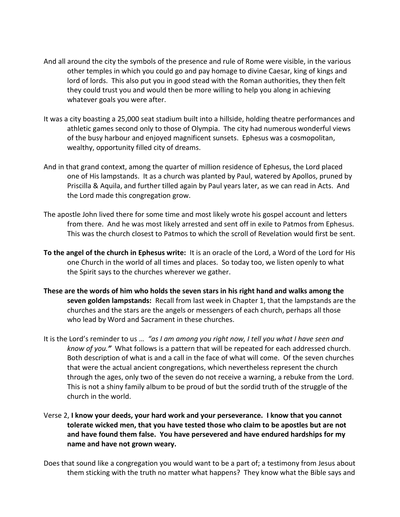- And all around the city the symbols of the presence and rule of Rome were visible, in the various other temples in which you could go and pay homage to divine Caesar, king of kings and lord of lords. This also put you in good stead with the Roman authorities, they then felt they could trust you and would then be more willing to help you along in achieving whatever goals you were after.
- It was a city boasting a 25,000 seat stadium built into a hillside, holding theatre performances and athletic games second only to those of Olympia. The city had numerous wonderful views of the busy harbour and enjoyed magnificent sunsets. Ephesus was a cosmopolitan, wealthy, opportunity filled city of dreams.
- And in that grand context, among the quarter of million residence of Ephesus, the Lord placed one of His lampstands. It as a church was planted by Paul, watered by Apollos, pruned by Priscilla & Aquila, and further tilled again by Paul years later, as we can read in Acts. And the Lord made this congregation grow.
- The apostle John lived there for some time and most likely wrote his gospel account and letters from there. And he was most likely arrested and sent off in exile to Patmos from Ephesus. This was the church closest to Patmos to which the scroll of Revelation would first be sent.
- **To the angel of the church in Ephesus write:** It is an oracle of the Lord, a Word of the Lord for His one Church in the world of all times and places. So today too, we listen openly to what the Spirit says to the churches wherever we gather.
- **These are the words of him who holds the seven stars in his right hand and walks among the seven golden lampstands:** Recall from last week in Chapter 1, that the lampstands are the churches and the stars are the angels or messengers of each church, perhaps all those who lead by Word and Sacrament in these churches.
- It is the Lord's reminder to us … *"as I am among you right now, I tell you what I have seen and know of you."* What follows is a pattern that will be repeated for each addressed church. Both description of what is and a call in the face of what will come. Of the seven churches that were the actual ancient congregations, which nevertheless represent the church through the ages, only two of the seven do not receive a warning, a rebuke from the Lord. This is not a shiny family album to be proud of but the sordid truth of the struggle of the church in the world.
- Verse 2, **I know your deeds, your hard work and your perseverance. I know that you cannot tolerate wicked men, that you have tested those who claim to be apostles but are not and have found them false. You have persevered and have endured hardships for my name and have not grown weary.**
- Does that sound like a congregation you would want to be a part of; a testimony from Jesus about them sticking with the truth no matter what happens? They know what the Bible says and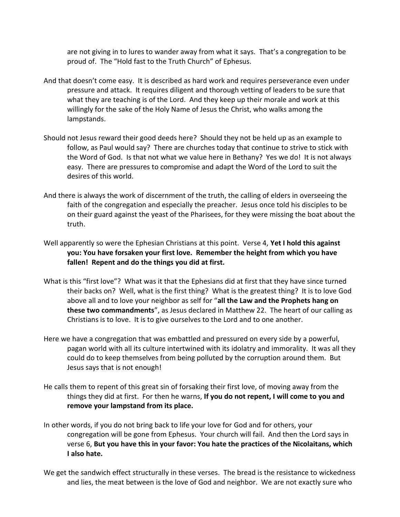are not giving in to lures to wander away from what it says. That's a congregation to be proud of. The "Hold fast to the Truth Church" of Ephesus.

- And that doesn't come easy. It is described as hard work and requires perseverance even under pressure and attack. It requires diligent and thorough vetting of leaders to be sure that what they are teaching is of the Lord. And they keep up their morale and work at this willingly for the sake of the Holy Name of Jesus the Christ, who walks among the lampstands.
- Should not Jesus reward their good deeds here? Should they not be held up as an example to follow, as Paul would say? There are churches today that continue to strive to stick with the Word of God. Is that not what we value here in Bethany? Yes we do! It is not always easy. There are pressures to compromise and adapt the Word of the Lord to suit the desires of this world.
- And there is always the work of discernment of the truth, the calling of elders in overseeing the faith of the congregation and especially the preacher. Jesus once told his disciples to be on their guard against the yeast of the Pharisees, for they were missing the boat about the truth.
- Well apparently so were the Ephesian Christians at this point. Verse 4, **Yet I hold this against you: You have forsaken your first love. Remember the height from which you have fallen! Repent and do the things you did at first.**
- What is this "first love"? What was it that the Ephesians did at first that they have since turned their backs on? Well, what is the first thing? What is the greatest thing? It is to love God above all and to love your neighbor as self for "**all the Law and the Prophets hang on these two commandments**", as Jesus declared in Matthew 22. The heart of our calling as Christians is to love. It is to give ourselves to the Lord and to one another.
- Here we have a congregation that was embattled and pressured on every side by a powerful, pagan world with all its culture intertwined with its idolatry and immorality. It was all they could do to keep themselves from being polluted by the corruption around them. But Jesus says that is not enough!
- He calls them to repent of this great sin of forsaking their first love, of moving away from the things they did at first. For then he warns, **If you do not repent, I will come to you and remove your lampstand from its place.**
- In other words, if you do not bring back to life your love for God and for others, your congregation will be gone from Ephesus. Your church will fail. And then the Lord says in verse 6, **But you have this in your favor: You hate the practices of the Nicolaitans, which I also hate.**
- We get the sandwich effect structurally in these verses. The bread is the resistance to wickedness and lies, the meat between is the love of God and neighbor. We are not exactly sure who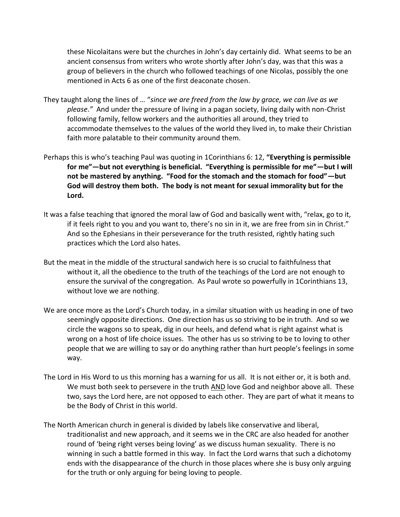these Nicolaitans were but the churches in John's day certainly did. What seems to be an ancient consensus from writers who wrote shortly after John's day, was that this was a group of believers in the church who followed teachings of one Nicolas, possibly the one mentioned in Acts 6 as one of the first deaconate chosen.

- They taught along the lines of … "*since we are freed from the law by grace, we can live as we please*.*"* And under the pressure of living in a pagan society, living daily with non-Christ following family, fellow workers and the authorities all around, they tried to accommodate themselves to the values of the world they lived in, to make their Christian faith more palatable to their community around them.
- Perhaps this is who's teaching Paul was quoting in 1Corinthians 6: 12, **"Everything is permissible for me"—but not everything is beneficial. "Everything is permissible for me"—but I will not be mastered by anything. "Food for the stomach and the stomach for food"—but God will destroy them both. The body is not meant for sexual immorality but for the Lord.**
- It was a false teaching that ignored the moral law of God and basically went with, "relax, go to it, if it feels right to you and you want to, there's no sin in it, we are free from sin in Christ." And so the Ephesians in their perseverance for the truth resisted, rightly hating such practices which the Lord also hates.
- But the meat in the middle of the structural sandwich here is so crucial to faithfulness that without it, all the obedience to the truth of the teachings of the Lord are not enough to ensure the survival of the congregation. As Paul wrote so powerfully in 1Corinthians 13, without love we are nothing.
- We are once more as the Lord's Church today, in a similar situation with us heading in one of two seemingly opposite directions. One direction has us so striving to be in truth. And so we circle the wagons so to speak, dig in our heels, and defend what is right against what is wrong on a host of life choice issues. The other has us so striving to be to loving to other people that we are willing to say or do anything rather than hurt people's feelings in some way.
- The Lord in His Word to us this morning has a warning for us all. It is not either or, it is both and. We must both seek to persevere in the truth AND love God and neighbor above all. These two, says the Lord here, are not opposed to each other. They are part of what it means to be the Body of Christ in this world.
- The North American church in general is divided by labels like conservative and liberal, traditionalist and new approach, and it seems we in the CRC are also headed for another round of 'being right verses being loving' as we discuss human sexuality. There is no winning in such a battle formed in this way. In fact the Lord warns that such a dichotomy ends with the disappearance of the church in those places where she is busy only arguing for the truth or only arguing for being loving to people.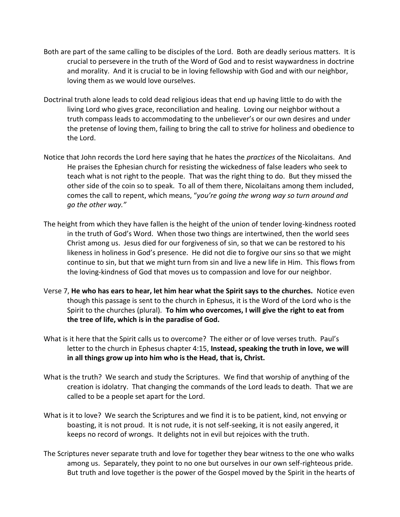- Both are part of the same calling to be disciples of the Lord. Both are deadly serious matters. It is crucial to persevere in the truth of the Word of God and to resist waywardness in doctrine and morality. And it is crucial to be in loving fellowship with God and with our neighbor, loving them as we would love ourselves.
- Doctrinal truth alone leads to cold dead religious ideas that end up having little to do with the living Lord who gives grace, reconciliation and healing. Loving our neighbor without a truth compass leads to accommodating to the unbeliever's or our own desires and under the pretense of loving them, failing to bring the call to strive for holiness and obedience to the Lord.
- Notice that John records the Lord here saying that he hates the *practices* of the Nicolaitans. And He praises the Ephesian church for resisting the wickedness of false leaders who seek to teach what is not right to the people. That was the right thing to do. But they missed the other side of the coin so to speak. To all of them there, Nicolaitans among them included, comes the call to repent, which means, "*you're going the wrong way so turn around and go the other way."*
- The height from which they have fallen is the height of the union of tender loving-kindness rooted in the truth of God's Word. When those two things are intertwined, then the world sees Christ among us. Jesus died for our forgiveness of sin, so that we can be restored to his likeness in holiness in God's presence. He did not die to forgive our sins so that we might continue to sin, but that we might turn from sin and live a new life in Him. This flows from the loving-kindness of God that moves us to compassion and love for our neighbor.
- Verse 7, **He who has ears to hear, let him hear what the Spirit says to the churches.** Notice even though this passage is sent to the church in Ephesus, it is the Word of the Lord who is the Spirit to the churches (plural). **To him who overcomes, I will give the right to eat from the tree of life, which is in the paradise of God.**
- What is it here that the Spirit calls us to overcome? The either or of love verses truth. Paul's letter to the church in Ephesus chapter 4:15, **Instead, speaking the truth in love, we will in all things grow up into him who is the Head, that is, Christ.**
- What is the truth? We search and study the Scriptures. We find that worship of anything of the creation is idolatry. That changing the commands of the Lord leads to death. That we are called to be a people set apart for the Lord.
- What is it to love? We search the Scriptures and we find it is to be patient, kind, not envying or boasting, it is not proud. It is not rude, it is not self-seeking, it is not easily angered, it keeps no record of wrongs. It delights not in evil but rejoices with the truth.
- The Scriptures never separate truth and love for together they bear witness to the one who walks among us. Separately, they point to no one but ourselves in our own self-righteous pride. But truth and love together is the power of the Gospel moved by the Spirit in the hearts of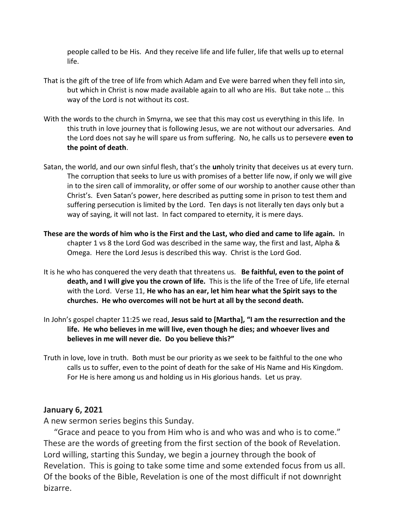people called to be His. And they receive life and life fuller, life that wells up to eternal life.

- That is the gift of the tree of life from which Adam and Eve were barred when they fell into sin, but which in Christ is now made available again to all who are His. But take note … this way of the Lord is not without its cost.
- With the words to the church in Smyrna, we see that this may cost us everything in this life. In this truth in love journey that is following Jesus, we are not without our adversaries. And the Lord does not say he will spare us from suffering. No, he calls us to persevere **even to the point of death**.
- Satan, the world, and our own sinful flesh, that's the **un**holy trinity that deceives us at every turn. The corruption that seeks to lure us with promises of a better life now, if only we will give in to the siren call of immorality, or offer some of our worship to another cause other than Christ's. Even Satan's power, here described as putting some in prison to test them and suffering persecution is limited by the Lord. Ten days is not literally ten days only but a way of saying, it will not last. In fact compared to eternity, it is mere days.
- **These are the words of him who is the First and the Last, who died and came to life again.** In chapter 1 vs 8 the Lord God was described in the same way, the first and last, Alpha & Omega. Here the Lord Jesus is described this way. Christ is the Lord God.
- It is he who has conquered the very death that threatens us. **Be faithful, even to the point of death, and I will give you the crown of life.** This is the life of the Tree of Life, life eternal with the Lord. Verse 11, **He who has an ear, let him hear what the Spirit says to the churches. He who overcomes will not be hurt at all by the second death.**
- In John's gospel chapter 11:25 we read, **Jesus said to [Martha], "I am the resurrection and the life. He who believes in me will live, even though he dies; and whoever lives and believes in me will never die. Do you believe this?"**
- Truth in love, love in truth. Both must be our priority as we seek to be faithful to the one who calls us to suffer, even to the point of death for the sake of His Name and His Kingdom. For He is here among us and holding us in His glorious hands. Let us pray.

## **January 6, 2021**

A new sermon series begins this Sunday.

 "Grace and peace to you from Him who is and who was and who is to come." These are the words of greeting from the first section of the book of Revelation. Lord willing, starting this Sunday, we begin a journey through the book of Revelation. This is going to take some time and some extended focus from us all. Of the books of the Bible, Revelation is one of the most difficult if not downright bizarre.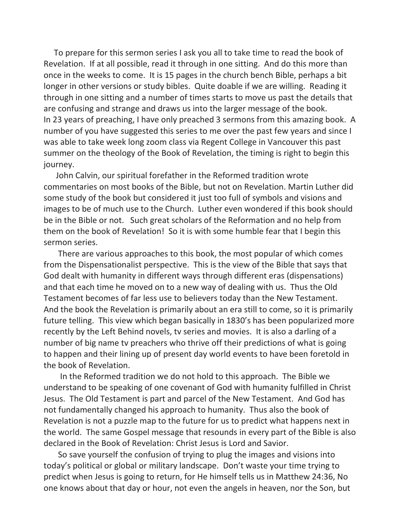To prepare for this sermon series I ask you all to take time to read the book of Revelation. If at all possible, read it through in one sitting. And do this more than once in the weeks to come. It is 15 pages in the church bench Bible, perhaps a bit longer in other versions or study bibles. Quite doable if we are willing. Reading it through in one sitting and a number of times starts to move us past the details that are confusing and strange and draws us into the larger message of the book. In 23 years of preaching, I have only preached 3 sermons from this amazing book. A number of you have suggested this series to me over the past few years and since I was able to take week long zoom class via Regent College in Vancouver this past summer on the theology of the Book of Revelation, the timing is right to begin this journey.

 John Calvin, our spiritual forefather in the Reformed tradition wrote commentaries on most books of the Bible, but not on Revelation. Martin Luther did some study of the book but considered it just too full of symbols and visions and images to be of much use to the Church. Luther even wondered if this book should be in the Bible or not. Such great scholars of the Reformation and no help from them on the book of Revelation! So it is with some humble fear that I begin this sermon series.

 There are various approaches to this book, the most popular of which comes from the Dispensationalist perspective. This is the view of the Bible that says that God dealt with humanity in different ways through different eras (dispensations) and that each time he moved on to a new way of dealing with us. Thus the Old Testament becomes of far less use to believers today than the New Testament. And the book the Revelation is primarily about an era still to come, so it is primarily future telling. This view which began basically in 1830's has been popularized more recently by the Left Behind novels, tv series and movies. It is also a darling of a number of big name tv preachers who thrive off their predictions of what is going to happen and their lining up of present day world events to have been foretold in the book of Revelation.

 In the Reformed tradition we do not hold to this approach. The Bible we understand to be speaking of one covenant of God with humanity fulfilled in Christ Jesus. The Old Testament is part and parcel of the New Testament. And God has not fundamentally changed his approach to humanity. Thus also the book of Revelation is not a puzzle map to the future for us to predict what happens next in the world. The same Gospel message that resounds in every part of the Bible is also declared in the Book of Revelation: Christ Jesus is Lord and Savior.

 So save yourself the confusion of trying to plug the images and visions into today's political or global or military landscape. Don't waste your time trying to predict when Jesus is going to return, for He himself tells us in Matthew 24:36, No one knows about that day or hour, not even the angels in heaven, nor the Son, but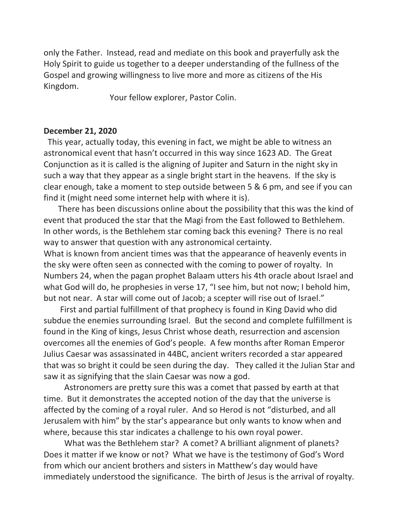only the Father. Instead, read and mediate on this book and prayerfully ask the Holy Spirit to guide us together to a deeper understanding of the fullness of the Gospel and growing willingness to live more and more as citizens of the His Kingdom.

Your fellow explorer, Pastor Colin.

#### **December 21, 2020**

This year, actually today, this evening in fact, we might be able to witness an astronomical event that hasn't occurred in this way since 1623 AD. The Great Conjunction as it is called is the aligning of Jupiter and Saturn in the night sky in such a way that they appear as a single bright start in the heavens. If the sky is clear enough, take a moment to step outside between 5 & 6 pm, and see if you can find it (might need some internet help with where it is).

 There has been discussions online about the possibility that this was the kind of event that produced the star that the Magi from the East followed to Bethlehem. In other words, is the Bethlehem star coming back this evening? There is no real way to answer that question with any astronomical certainty.

What is known from ancient times was that the appearance of heavenly events in the sky were often seen as connected with the coming to power of royalty. In Numbers 24, when the pagan prophet Balaam utters his 4th oracle about Israel and what God will do, he prophesies in verse 17, "I see him, but not now; I behold him, but not near. A star will come out of Jacob; a scepter will rise out of Israel."

 First and partial fulfillment of that prophecy is found in King David who did subdue the enemies surrounding Israel. But the second and complete fulfillment is found in the King of kings, Jesus Christ whose death, resurrection and ascension overcomes all the enemies of God's people. A few months after Roman Emperor Julius Caesar was assassinated in 44BC, ancient writers recorded a star appeared that was so bright it could be seen during the day. They called it the Julian Star and saw it as signifying that the slain Caesar was now a god.

 Astronomers are pretty sure this was a comet that passed by earth at that time. But it demonstrates the accepted notion of the day that the universe is affected by the coming of a royal ruler. And so Herod is not "disturbed, and all Jerusalem with him" by the star's appearance but only wants to know when and where, because this star indicates a challenge to his own royal power.

 What was the Bethlehem star? A comet? A brilliant alignment of planets? Does it matter if we know or not? What we have is the testimony of God's Word from which our ancient brothers and sisters in Matthew's day would have immediately understood the significance. The birth of Jesus is the arrival of royalty.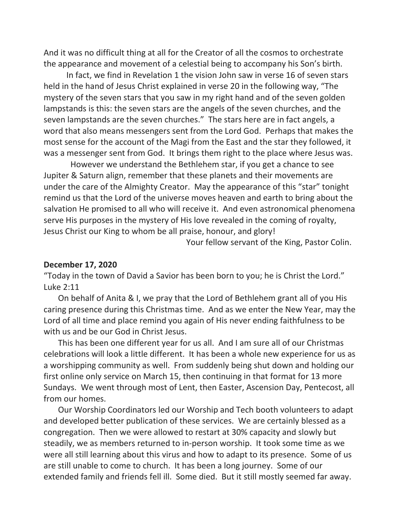And it was no difficult thing at all for the Creator of all the cosmos to orchestrate the appearance and movement of a celestial being to accompany his Son's birth.

 In fact, we find in Revelation 1 the vision John saw in verse 16 of seven stars held in the hand of Jesus Christ explained in verse 20 in the following way, "The mystery of the seven stars that you saw in my right hand and of the seven golden lampstands is this: the seven stars are the angels of the seven churches, and the seven lampstands are the seven churches." The stars here are in fact angels, a word that also means messengers sent from the Lord God. Perhaps that makes the most sense for the account of the Magi from the East and the star they followed, it was a messenger sent from God. It brings them right to the place where Jesus was.

 However we understand the Bethlehem star, if you get a chance to see Jupiter & Saturn align, remember that these planets and their movements are under the care of the Almighty Creator. May the appearance of this "star" tonight remind us that the Lord of the universe moves heaven and earth to bring about the salvation He promised to all who will receive it. And even astronomical phenomena serve His purposes in the mystery of His love revealed in the coming of royalty, Jesus Christ our King to whom be all praise, honour, and glory!

Your fellow servant of the King, Pastor Colin.

#### **December 17, 2020**

"Today in the town of David a Savior has been born to you; he is Christ the Lord." Luke 2:11

 On behalf of Anita & I, we pray that the Lord of Bethlehem grant all of you His caring presence during this Christmas time. And as we enter the New Year, may the Lord of all time and place remind you again of His never ending faithfulness to be with us and be our God in Christ Jesus.

 This has been one different year for us all. And I am sure all of our Christmas celebrations will look a little different. It has been a whole new experience for us as a worshipping community as well. From suddenly being shut down and holding our first online only service on March 15, then continuing in that format for 13 more Sundays. We went through most of Lent, then Easter, Ascension Day, Pentecost, all from our homes.

 Our Worship Coordinators led our Worship and Tech booth volunteers to adapt and developed better publication of these services. We are certainly blessed as a congregation. Then we were allowed to restart at 30% capacity and slowly but steadily, we as members returned to in-person worship. It took some time as we were all still learning about this virus and how to adapt to its presence. Some of us are still unable to come to church. It has been a long journey. Some of our extended family and friends fell ill. Some died. But it still mostly seemed far away.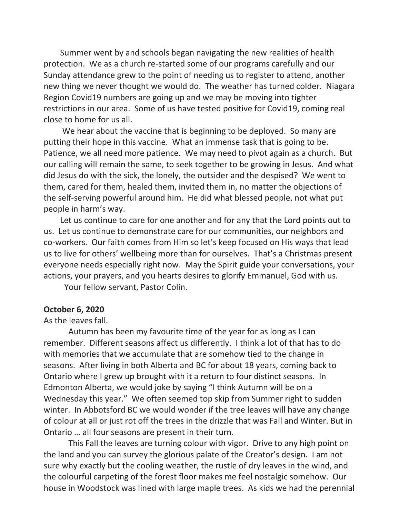Summer went by and schools began navigating the new realities of health protection. We as a church re-started some of our programs carefully and our Sunday attendance grew to the point of needing us to register to attend, another new thing we never thought we would do. The weather has turned colder. Niagara Region Covid19 numbers are going up and we may be moving into tighter restrictions in our area. Some of us have tested positive for Covid19, coming real close to home for us all.

 We hear about the vaccine that is beginning to be deployed. So many are putting their hope in this vaccine. What an immense task that is going to be. Patience, we all need more patience. We may need to pivot again as a church. But our calling will remain the same, to seek together to be growing in Jesus. And what did Jesus do with the sick, the lonely, the outsider and the despised? We went to them, cared for them, healed them, invited them in, no matter the objections of the self-serving powerful around him. He did what blessed people, not what put people in harm's way.

 Let us continue to care for one another and for any that the Lord points out to us. Let us continue to demonstrate care for our communities, our neighbors and co-workers. Our faith comes from Him so let's keep focused on His ways that lead us to live for others' wellbeing more than for ourselves. That's a Christmas present everyone needs especially right now. May the Spirit guide your conversations, your actions, your prayers, and you hearts desires to glorify Emmanuel, God with us.

Your fellow servant, Pastor Colin.

#### **October 6, 2020**

#### As the leaves fall.

 Autumn has been my favourite time of the year for as long as I can remember. Different seasons affect us differently. I think a lot of that has to do with memories that we accumulate that are somehow tied to the change in seasons. After living in both Alberta and BC for about 18 years, coming back to Ontario where I grew up brought with it a return to four distinct seasons. In Edmonton Alberta, we would joke by saying "I think Autumn will be on a Wednesday this year." We often seemed top skip from Summer right to sudden winter. In Abbotsford BC we would wonder if the tree leaves will have any change of colour at all or just rot off the trees in the drizzle that was Fall and Winter. But in Ontario … all four seasons are present in their turn.

 This Fall the leaves are turning colour with vigor. Drive to any high point on the land and you can survey the glorious palate of the Creator's design. I am not sure why exactly but the cooling weather, the rustle of dry leaves in the wind, and the colourful carpeting of the forest floor makes me feel nostalgic somehow. Our house in Woodstock was lined with large maple trees. As kids we had the perennial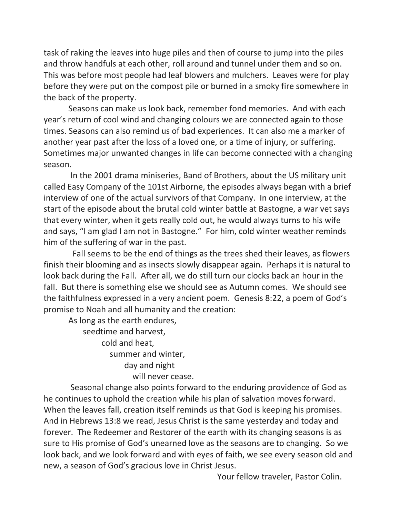task of raking the leaves into huge piles and then of course to jump into the piles and throw handfuls at each other, roll around and tunnel under them and so on. This was before most people had leaf blowers and mulchers. Leaves were for play before they were put on the compost pile or burned in a smoky fire somewhere in the back of the property.

 Seasons can make us look back, remember fond memories. And with each year's return of cool wind and changing colours we are connected again to those times. Seasons can also remind us of bad experiences. It can also me a marker of another year past after the loss of a loved one, or a time of injury, or suffering. Sometimes major unwanted changes in life can become connected with a changing season.

 In the 2001 drama miniseries, Band of Brothers, about the US military unit called Easy Company of the 101st Airborne, the episodes always began with a brief interview of one of the actual survivors of that Company. In one interview, at the start of the episode about the brutal cold winter battle at Bastogne, a war vet says that every winter, when it gets really cold out, he would always turns to his wife and says, "I am glad I am not in Bastogne." For him, cold winter weather reminds him of the suffering of war in the past.

 Fall seems to be the end of things as the trees shed their leaves, as flowers finish their blooming and as insects slowly disappear again. Perhaps it is natural to look back during the Fall. After all, we do still turn our clocks back an hour in the fall. But there is something else we should see as Autumn comes. We should see the faithfulness expressed in a very ancient poem. Genesis 8:22, a poem of God's promise to Noah and all humanity and the creation:

 As long as the earth endures, seedtime and harvest, cold and heat, summer and winter, day and night will never cease.

 Seasonal change also points forward to the enduring providence of God as he continues to uphold the creation while his plan of salvation moves forward. When the leaves fall, creation itself reminds us that God is keeping his promises. And in Hebrews 13:8 we read, Jesus Christ is the same yesterday and today and forever. The Redeemer and Restorer of the earth with its changing seasons is as sure to His promise of God's unearned love as the seasons are to changing. So we look back, and we look forward and with eyes of faith, we see every season old and new, a season of God's gracious love in Christ Jesus.

Your fellow traveler, Pastor Colin.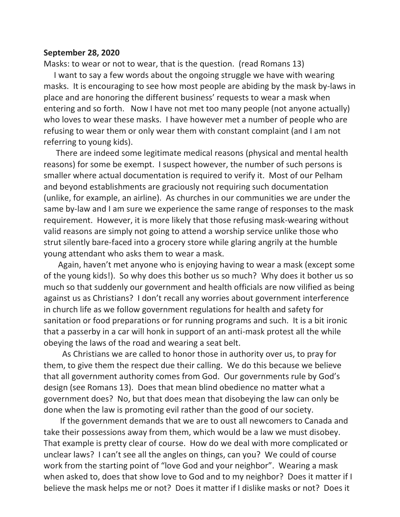#### **September 28, 2020**

Masks: to wear or not to wear, that is the question. (read Romans 13)

 I want to say a few words about the ongoing struggle we have with wearing masks. It is encouraging to see how most people are abiding by the mask by-laws in place and are honoring the different business' requests to wear a mask when entering and so forth. Now I have not met too many people (not anyone actually) who loves to wear these masks. I have however met a number of people who are refusing to wear them or only wear them with constant complaint (and I am not referring to young kids).

 There are indeed some legitimate medical reasons (physical and mental health reasons) for some be exempt. I suspect however, the number of such persons is smaller where actual documentation is required to verify it. Most of our Pelham and beyond establishments are graciously not requiring such documentation (unlike, for example, an airline). As churches in our communities we are under the same by-law and I am sure we experience the same range of responses to the mask requirement. However, it is more likely that those refusing mask-wearing without valid reasons are simply not going to attend a worship service unlike those who strut silently bare-faced into a grocery store while glaring angrily at the humble young attendant who asks them to wear a mask.

 Again, haven't met anyone who is enjoying having to wear a mask (except some of the young kids!). So why does this bother us so much? Why does it bother us so much so that suddenly our government and health officials are now vilified as being against us as Christians? I don't recall any worries about government interference in church life as we follow government regulations for health and safety for sanitation or food preparations or for running programs and such. It is a bit ironic that a passerby in a car will honk in support of an anti-mask protest all the while obeying the laws of the road and wearing a seat belt.

 As Christians we are called to honor those in authority over us, to pray for them, to give them the respect due their calling. We do this because we believe that all government authority comes from God. Our governments rule by God's design (see Romans 13). Does that mean blind obedience no matter what a government does? No, but that does mean that disobeying the law can only be done when the law is promoting evil rather than the good of our society.

 If the government demands that we are to oust all newcomers to Canada and take their possessions away from them, which would be a law we must disobey. That example is pretty clear of course. How do we deal with more complicated or unclear laws? I can't see all the angles on things, can you? We could of course work from the starting point of "love God and your neighbor". Wearing a mask when asked to, does that show love to God and to my neighbor? Does it matter if I believe the mask helps me or not? Does it matter if I dislike masks or not? Does it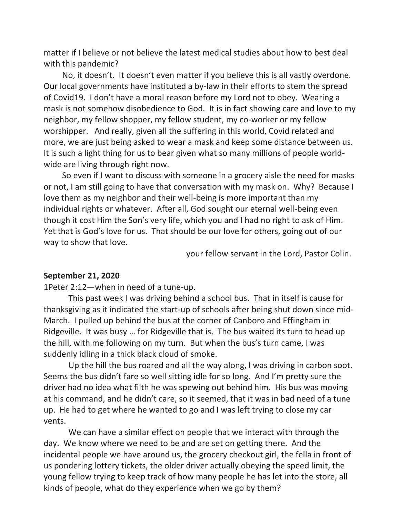matter if I believe or not believe the latest medical studies about how to best deal with this pandemic?

 No, it doesn't. It doesn't even matter if you believe this is all vastly overdone. Our local governments have instituted a by-law in their efforts to stem the spread of Covid19. I don't have a moral reason before my Lord not to obey. Wearing a mask is not somehow disobedience to God. It is in fact showing care and love to my neighbor, my fellow shopper, my fellow student, my co-worker or my fellow worshipper. And really, given all the suffering in this world, Covid related and more, we are just being asked to wear a mask and keep some distance between us. It is such a light thing for us to bear given what so many millions of people worldwide are living through right now.

 So even if I want to discuss with someone in a grocery aisle the need for masks or not, I am still going to have that conversation with my mask on. Why? Because I love them as my neighbor and their well-being is more important than my individual rights or whatever. After all, God sought our eternal well-being even though it cost Him the Son's very life, which you and I had no right to ask of Him. Yet that is God's love for us. That should be our love for others, going out of our way to show that love.

your fellow servant in the Lord, Pastor Colin.

#### **September 21, 2020**

1Peter 2:12—when in need of a tune-up.

 This past week I was driving behind a school bus. That in itself is cause for thanksgiving as it indicated the start-up of schools after being shut down since mid-March. I pulled up behind the bus at the corner of Canboro and Effingham in Ridgeville. It was busy … for Ridgeville that is. The bus waited its turn to head up the hill, with me following on my turn. But when the bus's turn came, I was suddenly idling in a thick black cloud of smoke.

 Up the hill the bus roared and all the way along, I was driving in carbon soot. Seems the bus didn't fare so well sitting idle for so long. And I'm pretty sure the driver had no idea what filth he was spewing out behind him. His bus was moving at his command, and he didn't care, so it seemed, that it was in bad need of a tune up. He had to get where he wanted to go and I was left trying to close my car vents.

 We can have a similar effect on people that we interact with through the day. We know where we need to be and are set on getting there. And the incidental people we have around us, the grocery checkout girl, the fella in front of us pondering lottery tickets, the older driver actually obeying the speed limit, the young fellow trying to keep track of how many people he has let into the store, all kinds of people, what do they experience when we go by them?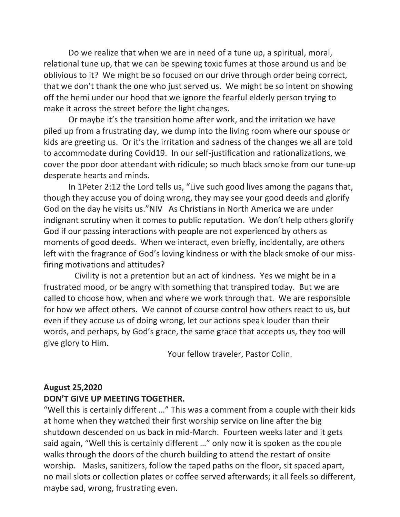Do we realize that when we are in need of a tune up, a spiritual, moral, relational tune up, that we can be spewing toxic fumes at those around us and be oblivious to it? We might be so focused on our drive through order being correct, that we don't thank the one who just served us. We might be so intent on showing off the hemi under our hood that we ignore the fearful elderly person trying to make it across the street before the light changes.

 Or maybe it's the transition home after work, and the irritation we have piled up from a frustrating day, we dump into the living room where our spouse or kids are greeting us. Or it's the irritation and sadness of the changes we all are told to accommodate during Covid19. In our self-justification and rationalizations, we cover the poor door attendant with ridicule; so much black smoke from our tune-up desperate hearts and minds.

 In 1Peter 2:12 the Lord tells us, "Live such good lives among the pagans that, though they accuse you of doing wrong, they may see your good deeds and glorify God on the day he visits us."NIV As Christians in North America we are under indignant scrutiny when it comes to public reputation. We don't help others glorify God if our passing interactions with people are not experienced by others as moments of good deeds. When we interact, even briefly, incidentally, are others left with the fragrance of God's loving kindness or with the black smoke of our missfiring motivations and attitudes?

 Civility is not a pretention but an act of kindness. Yes we might be in a frustrated mood, or be angry with something that transpired today. But we are called to choose how, when and where we work through that. We are responsible for how we affect others. We cannot of course control how others react to us, but even if they accuse us of doing wrong, let our actions speak louder than their words, and perhaps, by God's grace, the same grace that accepts us, they too will give glory to Him.

Your fellow traveler, Pastor Colin.

## **August 25,2020**

## **DON'T GIVE UP MEETING TOGETHER.**

"Well this is certainly different …" This was a comment from a couple with their kids at home when they watched their first worship service on line after the big shutdown descended on us back in mid-March. Fourteen weeks later and it gets said again, "Well this is certainly different …" only now it is spoken as the couple walks through the doors of the church building to attend the restart of onsite worship. Masks, sanitizers, follow the taped paths on the floor, sit spaced apart, no mail slots or collection plates or coffee served afterwards; it all feels so different, maybe sad, wrong, frustrating even.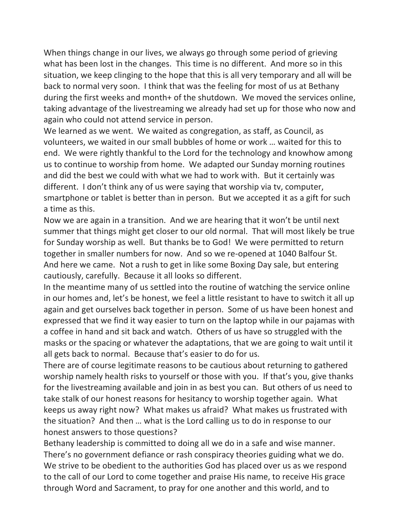When things change in our lives, we always go through some period of grieving what has been lost in the changes. This time is no different. And more so in this situation, we keep clinging to the hope that this is all very temporary and all will be back to normal very soon. I think that was the feeling for most of us at Bethany during the first weeks and month+ of the shutdown. We moved the services online, taking advantage of the livestreaming we already had set up for those who now and again who could not attend service in person.

We learned as we went. We waited as congregation, as staff, as Council, as volunteers, we waited in our small bubbles of home or work … waited for this to end. We were rightly thankful to the Lord for the technology and knowhow among us to continue to worship from home. We adapted our Sunday morning routines and did the best we could with what we had to work with. But it certainly was different. I don't think any of us were saying that worship via tv, computer, smartphone or tablet is better than in person. But we accepted it as a gift for such a time as this.

Now we are again in a transition. And we are hearing that it won't be until next summer that things might get closer to our old normal. That will most likely be true for Sunday worship as well. But thanks be to God! We were permitted to return together in smaller numbers for now. And so we re-opened at 1040 Balfour St. And here we came. Not a rush to get in like some Boxing Day sale, but entering cautiously, carefully. Because it all looks so different.

In the meantime many of us settled into the routine of watching the service online in our homes and, let's be honest, we feel a little resistant to have to switch it all up again and get ourselves back together in person. Some of us have been honest and expressed that we find it way easier to turn on the laptop while in our pajamas with a coffee in hand and sit back and watch. Others of us have so struggled with the masks or the spacing or whatever the adaptations, that we are going to wait until it all gets back to normal. Because that's easier to do for us.

There are of course legitimate reasons to be cautious about returning to gathered worship namely health risks to yourself or those with you. If that's you, give thanks for the livestreaming available and join in as best you can. But others of us need to take stalk of our honest reasons for hesitancy to worship together again. What keeps us away right now? What makes us afraid? What makes us frustrated with the situation? And then … what is the Lord calling us to do in response to our honest answers to those questions?

Bethany leadership is committed to doing all we do in a safe and wise manner. There's no government defiance or rash conspiracy theories guiding what we do. We strive to be obedient to the authorities God has placed over us as we respond to the call of our Lord to come together and praise His name, to receive His grace through Word and Sacrament, to pray for one another and this world, and to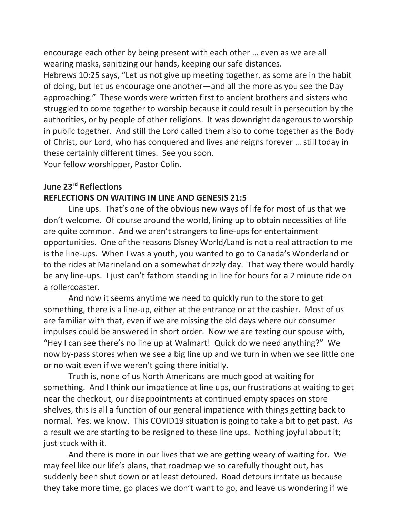encourage each other by being present with each other … even as we are all wearing masks, sanitizing our hands, keeping our safe distances.

Hebrews 10:25 says, "Let us not give up meeting together, as some are in the habit of doing, but let us encourage one another—and all the more as you see the Day approaching." These words were written first to ancient brothers and sisters who struggled to come together to worship because it could result in persecution by the authorities, or by people of other religions. It was downright dangerous to worship in public together. And still the Lord called them also to come together as the Body of Christ, our Lord, who has conquered and lives and reigns forever … still today in these certainly different times. See you soon.

Your fellow worshipper, Pastor Colin.

# **June 23rd Reflections**

## **REFLECTIONS ON WAITING IN LINE AND GENESIS 21:5**

 Line ups. That's one of the obvious new ways of life for most of us that we don't welcome. Of course around the world, lining up to obtain necessities of life are quite common. And we aren't strangers to line-ups for entertainment opportunities. One of the reasons Disney World/Land is not a real attraction to me is the line-ups. When I was a youth, you wanted to go to Canada's Wonderland or to the rides at Marineland on a somewhat drizzly day. That way there would hardly be any line-ups. I just can't fathom standing in line for hours for a 2 minute ride on a rollercoaster.

 And now it seems anytime we need to quickly run to the store to get something, there is a line-up, either at the entrance or at the cashier. Most of us are familiar with that, even if we are missing the old days where our consumer impulses could be answered in short order. Now we are texting our spouse with, "Hey I can see there's no line up at Walmart! Quick do we need anything?" We now by-pass stores when we see a big line up and we turn in when we see little one or no wait even if we weren't going there initially.

 Truth is, none of us North Americans are much good at waiting for something. And I think our impatience at line ups, our frustrations at waiting to get near the checkout, our disappointments at continued empty spaces on store shelves, this is all a function of our general impatience with things getting back to normal. Yes, we know. This COVID19 situation is going to take a bit to get past. As a result we are starting to be resigned to these line ups. Nothing joyful about it; just stuck with it.

 And there is more in our lives that we are getting weary of waiting for. We may feel like our life's plans, that roadmap we so carefully thought out, has suddenly been shut down or at least detoured. Road detours irritate us because they take more time, go places we don't want to go, and leave us wondering if we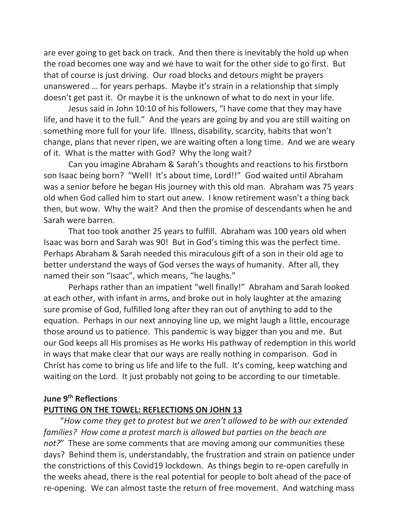are ever going to get back on track. And then there is inevitably the hold up when the road becomes one way and we have to wait for the other side to go first. But that of course is just driving. Our road blocks and detours might be prayers unanswered … for years perhaps. Maybe it's strain in a relationship that simply doesn't get past it. Or maybe it is the unknown of what to do next in your life.

 Jesus said in John 10:10 of his followers, "I have come that they may have life, and have it to the full." And the years are going by and you are still waiting on something more full for your life. Illness, disability, scarcity, habits that won't change, plans that never ripen, we are waiting often a long time. And we are weary of it. What is the matter with God? Why the long wait?

 Can you imagine Abraham & Sarah's thoughts and reactions to his firstborn son Isaac being born? "Well! It's about time, Lord!!" God waited until Abraham was a senior before he began His journey with this old man. Abraham was 75 years old when God called him to start out anew. I know retirement wasn't a thing back then, but wow. Why the wait? And then the promise of descendants when he and Sarah were barren.

 That too took another 25 years to fulfill. Abraham was 100 years old when Isaac was born and Sarah was 90! But in God's timing this was the perfect time. Perhaps Abraham & Sarah needed this miraculous gift of a son in their old age to better understand the ways of God verses the ways of humanity. After all, they named their son "Isaac", which means, "he laughs."

 Perhaps rather than an impatient "well finally!" Abraham and Sarah looked at each other, with infant in arms, and broke out in holy laughter at the amazing sure promise of God, fulfilled long after they ran out of anything to add to the equation. Perhaps in our next annoying line up, we might laugh a little, encourage those around us to patience. This pandemic is way bigger than you and me. But our God keeps all His promises as He works His pathway of redemption in this world in ways that make clear that our ways are really nothing in comparison. God in Christ has come to bring us life and life to the full. It's coming, keep watching and waiting on the Lord. It just probably not going to be according to our timetable.

## **June 9th Reflections**

# **PUTTING ON THE TOWEL: REFLECTIONS ON JOHN 13**

"*How come they get to protest but we aren't allowed to be with our extended families? How come a protest march is allowed but parties on the beach are not?*" These are some comments that are moving among our communities these days? Behind them is, understandably, the frustration and strain on patience under the constrictions of this Covid19 lockdown. As things begin to re-open carefully in the weeks ahead, there is the real potential for people to bolt ahead of the pace of re-opening. We can almost taste the return of free movement. And watching mass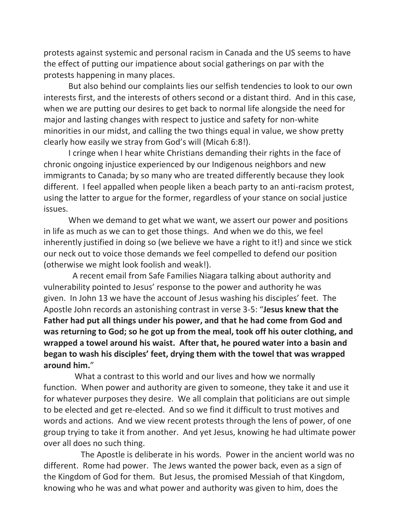protests against systemic and personal racism in Canada and the US seems to have the effect of putting our impatience about social gatherings on par with the protests happening in many places.

But also behind our complaints lies our selfish tendencies to look to our own interests first, and the interests of others second or a distant third. And in this case, when we are putting our desires to get back to normal life alongside the need for major and lasting changes with respect to justice and safety for non-white minorities in our midst, and calling the two things equal in value, we show pretty clearly how easily we stray from God's will (Micah 6:8!).

I cringe when I hear white Christians demanding their rights in the face of chronic ongoing injustice experienced by our Indigenous neighbors and new immigrants to Canada; by so many who are treated differently because they look different. I feel appalled when people liken a beach party to an anti-racism protest, using the latter to argue for the former, regardless of your stance on social justice issues.

When we demand to get what we want, we assert our power and positions in life as much as we can to get those things. And when we do this, we feel inherently justified in doing so (we believe we have a right to it!) and since we stick our neck out to voice those demands we feel compelled to defend our position (otherwise we might look foolish and weak!).

A recent email from Safe Families Niagara talking about authority and vulnerability pointed to Jesus' response to the power and authority he was given. In John 13 we have the account of Jesus washing his disciples' feet. The Apostle John records an astonishing contrast in verse 3-5: "**Jesus knew that the Father had put all things under his power, and that he had come from God and was returning to God; so he got up from the meal, took off his outer clothing, and wrapped a towel around his waist. After that, he poured water into a basin and began to wash his disciples' feet, drying them with the towel that was wrapped around him.**"

What a contrast to this world and our lives and how we normally function. When power and authority are given to someone, they take it and use it for whatever purposes they desire. We all complain that politicians are out simple to be elected and get re-elected. And so we find it difficult to trust motives and words and actions. And we view recent protests through the lens of power, of one group trying to take it from another. And yet Jesus, knowing he had ultimate power over all does no such thing.

The Apostle is deliberate in his words. Power in the ancient world was no different. Rome had power. The Jews wanted the power back, even as a sign of the Kingdom of God for them. But Jesus, the promised Messiah of that Kingdom, knowing who he was and what power and authority was given to him, does the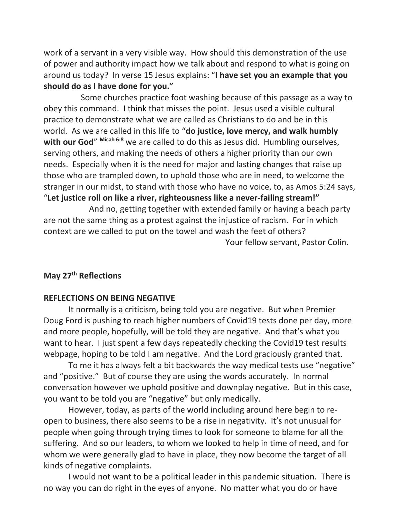work of a servant in a very visible way. How should this demonstration of the use of power and authority impact how we talk about and respond to what is going on around us today? In verse 15 Jesus explains: "**I have set you an example that you should do as I have done for you."**

Some churches practice foot washing because of this passage as a way to obey this command. I think that misses the point. Jesus used a visible cultural practice to demonstrate what we are called as Christians to do and be in this world. As we are called in this life to "**do justice, love mercy, and walk humbly with our God**" **Micah 6:8** we are called to do this as Jesus did. Humbling ourselves, serving others, and making the needs of others a higher priority than our own needs. Especially when it is the need for major and lasting changes that raise up those who are trampled down, to uphold those who are in need, to welcome the stranger in our midst, to stand with those who have no voice, to, as Amos 5:24 says, "**Let justice roll on like a river, righteousness like a never-failing stream!"**

And no, getting together with extended family or having a beach party are not the same thing as a protest against the injustice of racism. For in which context are we called to put on the towel and wash the feet of others? Your fellow servant, Pastor Colin.

# **May 27th Reflections**

#### **REFLECTIONS ON BEING NEGATIVE**

 It normally is a criticism, being told you are negative. But when Premier Doug Ford is pushing to reach higher numbers of Covid19 tests done per day, more and more people, hopefully, will be told they are negative. And that's what you want to hear. I just spent a few days repeatedly checking the Covid19 test results webpage, hoping to be told I am negative. And the Lord graciously granted that.

 To me it has always felt a bit backwards the way medical tests use "negative" and "positive." But of course they are using the words accurately. In normal conversation however we uphold positive and downplay negative. But in this case, you want to be told you are "negative" but only medically.

 However, today, as parts of the world including around here begin to reopen to business, there also seems to be a rise in negativity. It's not unusual for people when going through trying times to look for someone to blame for all the suffering. And so our leaders, to whom we looked to help in time of need, and for whom we were generally glad to have in place, they now become the target of all kinds of negative complaints.

 I would not want to be a political leader in this pandemic situation. There is no way you can do right in the eyes of anyone. No matter what you do or have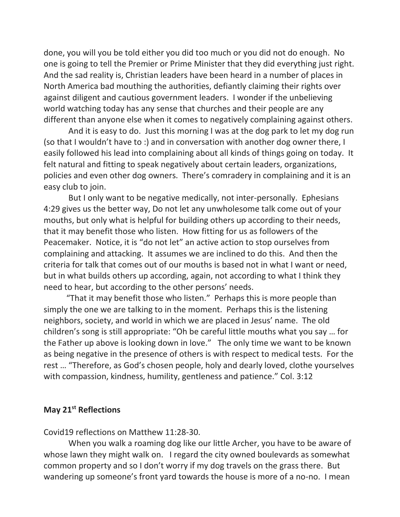done, you will you be told either you did too much or you did not do enough. No one is going to tell the Premier or Prime Minister that they did everything just right. And the sad reality is, Christian leaders have been heard in a number of places in North America bad mouthing the authorities, defiantly claiming their rights over against diligent and cautious government leaders. I wonder if the unbelieving world watching today has any sense that churches and their people are any different than anyone else when it comes to negatively complaining against others.

 And it is easy to do. Just this morning I was at the dog park to let my dog run (so that I wouldn't have to :) and in conversation with another dog owner there, I easily followed his lead into complaining about all kinds of things going on today. It felt natural and fitting to speak negatively about certain leaders, organizations, policies and even other dog owners. There's comradery in complaining and it is an easy club to join.

 But I only want to be negative medically, not inter-personally. Ephesians 4:29 gives us the better way, Do not let any unwholesome talk come out of your mouths, but only what is helpful for building others up according to their needs, that it may benefit those who listen. How fitting for us as followers of the Peacemaker. Notice, it is "do not let" an active action to stop ourselves from complaining and attacking. It assumes we are inclined to do this. And then the criteria for talk that comes out of our mouths is based not in what I want or need, but in what builds others up according, again, not according to what I think they need to hear, but according to the other persons' needs.

 "That it may benefit those who listen." Perhaps this is more people than simply the one we are talking to in the moment. Perhaps this is the listening neighbors, society, and world in which we are placed in Jesus' name. The old children's song is still appropriate: "Oh be careful little mouths what you say … for the Father up above is looking down in love." The only time we want to be known as being negative in the presence of others is with respect to medical tests. For the rest … "Therefore, as God's chosen people, holy and dearly loved, clothe yourselves with compassion, kindness, humility, gentleness and patience." Col. 3:12

# **May 21st Reflections**

Covid19 reflections on Matthew 11:28-30.

 When you walk a roaming dog like our little Archer, you have to be aware of whose lawn they might walk on. I regard the city owned boulevards as somewhat common property and so I don't worry if my dog travels on the grass there. But wandering up someone's front yard towards the house is more of a no-no. I mean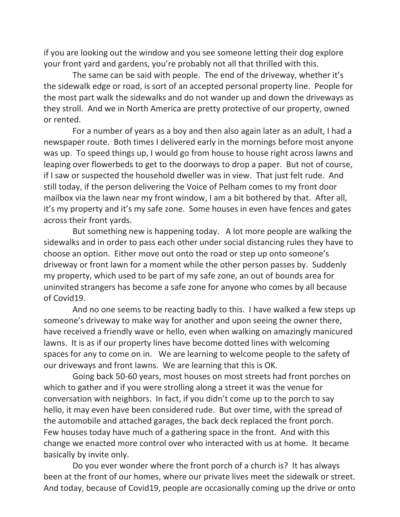if you are looking out the window and you see someone letting their dog explore your front yard and gardens, you're probably not all that thrilled with this.

 The same can be said with people. The end of the driveway, whether it's the sidewalk edge or road, is sort of an accepted personal property line. People for the most part walk the sidewalks and do not wander up and down the driveways as they stroll. And we in North America are pretty protective of our property, owned or rented.

 For a number of years as a boy and then also again later as an adult, I had a newspaper route. Both times I delivered early in the mornings before most anyone was up. To speed things up, I would go from house to house right across lawns and leaping over flowerbeds to get to the doorways to drop a paper. But not of course, if I saw or suspected the household dweller was in view. That just felt rude. And still today, if the person delivering the Voice of Pelham comes to my front door mailbox via the lawn near my front window, I am a bit bothered by that. After all, it's my property and it's my safe zone. Some houses in even have fences and gates across their front yards.

 But something new is happening today. A lot more people are walking the sidewalks and in order to pass each other under social distancing rules they have to choose an option. Either move out onto the road or step up onto someone's driveway or front lawn for a moment while the other person passes by. Suddenly my property, which used to be part of my safe zone, an out of bounds area for uninvited strangers has become a safe zone for anyone who comes by all because of Covid19.

 And no one seems to be reacting badly to this. I have walked a few steps up someone's driveway to make way for another and upon seeing the owner there, have received a friendly wave or hello, even when walking on amazingly manicured lawns. It is as if our property lines have become dotted lines with welcoming spaces for any to come on in. We are learning to welcome people to the safety of our driveways and front lawns. We are learning that this is OK.

 Going back 50-60 years, most houses on most streets had front porches on which to gather and if you were strolling along a street it was the venue for conversation with neighbors. In fact, if you didn't come up to the porch to say hello, it may even have been considered rude. But over time, with the spread of the automobile and attached garages, the back deck replaced the front porch. Few houses today have much of a gathering space in the front. And with this change we enacted more control over who interacted with us at home. It became basically by invite only.

 Do you ever wonder where the front porch of a church is? It has always been at the front of our homes, where our private lives meet the sidewalk or street. And today, because of Covid19, people are occasionally coming up the drive or onto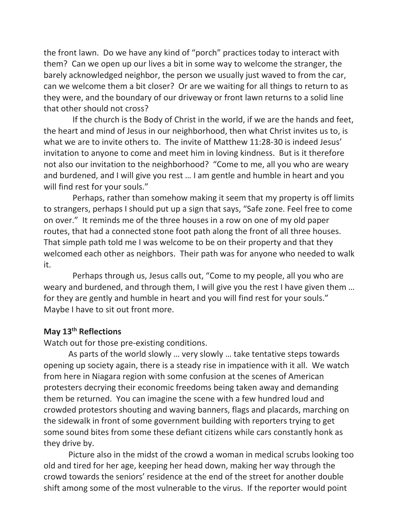the front lawn. Do we have any kind of "porch" practices today to interact with them? Can we open up our lives a bit in some way to welcome the stranger, the barely acknowledged neighbor, the person we usually just waved to from the car, can we welcome them a bit closer? Or are we waiting for all things to return to as they were, and the boundary of our driveway or front lawn returns to a solid line that other should not cross?

 If the church is the Body of Christ in the world, if we are the hands and feet, the heart and mind of Jesus in our neighborhood, then what Christ invites us to, is what we are to invite others to. The invite of Matthew 11:28-30 is indeed Jesus' invitation to anyone to come and meet him in loving kindness. But is it therefore not also our invitation to the neighborhood? "Come to me, all you who are weary and burdened, and I will give you rest … I am gentle and humble in heart and you will find rest for your souls."

 Perhaps, rather than somehow making it seem that my property is off limits to strangers, perhaps I should put up a sign that says, "Safe zone. Feel free to come on over." It reminds me of the three houses in a row on one of my old paper routes, that had a connected stone foot path along the front of all three houses. That simple path told me I was welcome to be on their property and that they welcomed each other as neighbors. Their path was for anyone who needed to walk it.

 Perhaps through us, Jesus calls out, "Come to my people, all you who are weary and burdened, and through them, I will give you the rest I have given them … for they are gently and humble in heart and you will find rest for your souls." Maybe I have to sit out front more.

# **May 13th Reflections**

Watch out for those pre-existing conditions.

 As parts of the world slowly … very slowly … take tentative steps towards opening up society again, there is a steady rise in impatience with it all. We watch from here in Niagara region with some confusion at the scenes of American protesters decrying their economic freedoms being taken away and demanding them be returned. You can imagine the scene with a few hundred loud and crowded protestors shouting and waving banners, flags and placards, marching on the sidewalk in front of some government building with reporters trying to get some sound bites from some these defiant citizens while cars constantly honk as they drive by.

 Picture also in the midst of the crowd a woman in medical scrubs looking too old and tired for her age, keeping her head down, making her way through the crowd towards the seniors' residence at the end of the street for another double shift among some of the most vulnerable to the virus. If the reporter would point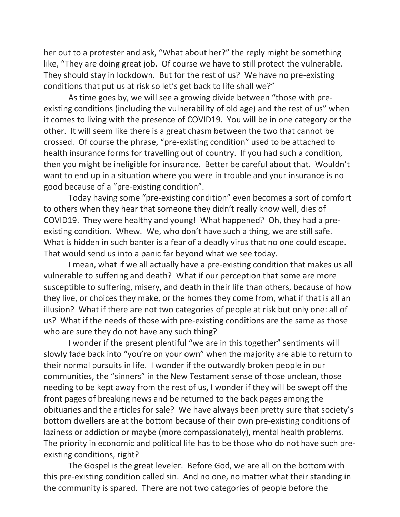her out to a protester and ask, "What about her?" the reply might be something like, "They are doing great job. Of course we have to still protect the vulnerable. They should stay in lockdown. But for the rest of us? We have no pre-existing conditions that put us at risk so let's get back to life shall we?"

 As time goes by, we will see a growing divide between "those with preexisting conditions (including the vulnerability of old age) and the rest of us" when it comes to living with the presence of COVID19. You will be in one category or the other. It will seem like there is a great chasm between the two that cannot be crossed. Of course the phrase, "pre-existing condition" used to be attached to health insurance forms for travelling out of country. If you had such a condition, then you might be ineligible for insurance. Better be careful about that. Wouldn't want to end up in a situation where you were in trouble and your insurance is no good because of a "pre-existing condition".

 Today having some "pre-existing condition" even becomes a sort of comfort to others when they hear that someone they didn't really know well, dies of COVID19. They were healthy and young! What happened? Oh, they had a preexisting condition. Whew. We, who don't have such a thing, we are still safe. What is hidden in such banter is a fear of a deadly virus that no one could escape. That would send us into a panic far beyond what we see today.

 I mean, what if we all actually have a pre-existing condition that makes us all vulnerable to suffering and death? What if our perception that some are more susceptible to suffering, misery, and death in their life than others, because of how they live, or choices they make, or the homes they come from, what if that is all an illusion? What if there are not two categories of people at risk but only one: all of us? What if the needs of those with pre-existing conditions are the same as those who are sure they do not have any such thing?

 I wonder if the present plentiful "we are in this together" sentiments will slowly fade back into "you're on your own" when the majority are able to return to their normal pursuits in life. I wonder if the outwardly broken people in our communities, the "sinners" in the New Testament sense of those unclean, those needing to be kept away from the rest of us, I wonder if they will be swept off the front pages of breaking news and be returned to the back pages among the obituaries and the articles for sale? We have always been pretty sure that society's bottom dwellers are at the bottom because of their own pre-existing conditions of laziness or addiction or maybe (more compassionately), mental health problems. The priority in economic and political life has to be those who do not have such preexisting conditions, right?

 The Gospel is the great leveler. Before God, we are all on the bottom with this pre-existing condition called sin. And no one, no matter what their standing in the community is spared. There are not two categories of people before the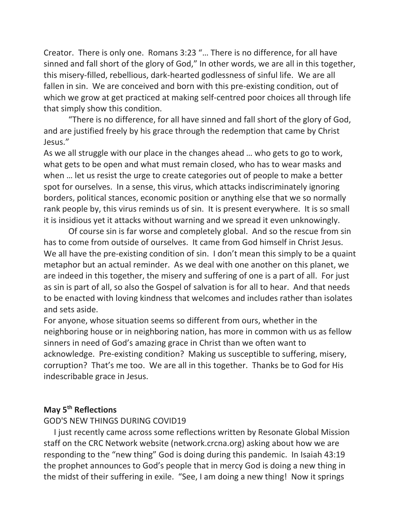Creator. There is only one. Romans 3:23 "… There is no difference, for all have sinned and fall short of the glory of God," In other words, we are all in this together, this misery-filled, rebellious, dark-hearted godlessness of sinful life. We are all fallen in sin. We are conceived and born with this pre-existing condition, out of which we grow at get practiced at making self-centred poor choices all through life that simply show this condition.

 "There is no difference, for all have sinned and fall short of the glory of God, and are justified freely by his grace through the redemption that came by Christ Jesus."

As we all struggle with our place in the changes ahead … who gets to go to work, what gets to be open and what must remain closed, who has to wear masks and when … let us resist the urge to create categories out of people to make a better spot for ourselves. In a sense, this virus, which attacks indiscriminately ignoring borders, political stances, economic position or anything else that we so normally rank people by, this virus reminds us of sin. It is present everywhere. It is so small it is insidious yet it attacks without warning and we spread it even unknowingly.

 Of course sin is far worse and completely global. And so the rescue from sin has to come from outside of ourselves. It came from God himself in Christ Jesus. We all have the pre-existing condition of sin. I don't mean this simply to be a quaint metaphor but an actual reminder. As we deal with one another on this planet, we are indeed in this together, the misery and suffering of one is a part of all. For just as sin is part of all, so also the Gospel of salvation is for all to hear. And that needs to be enacted with loving kindness that welcomes and includes rather than isolates and sets aside.

For anyone, whose situation seems so different from ours, whether in the neighboring house or in neighboring nation, has more in common with us as fellow sinners in need of God's amazing grace in Christ than we often want to acknowledge. Pre-existing condition? Making us susceptible to suffering, misery, corruption? That's me too. We are all in this together. Thanks be to God for His indescribable grace in Jesus.

# **May 5th Reflections**

### GOD'S NEW THINGS DURING COVID19

 I just recently came across some reflections written by Resonate Global Mission staff on the CRC Network website (network.crcna.org) asking about how we are responding to the "new thing" God is doing during this pandemic. In Isaiah 43:19 the prophet announces to God's people that in mercy God is doing a new thing in the midst of their suffering in exile. "See, I am doing a new thing! Now it springs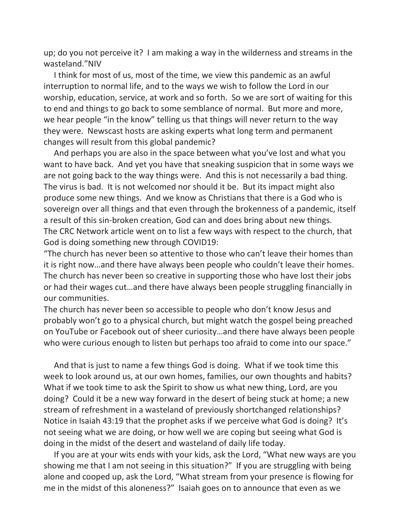up; do you not perceive it? I am making a way in the wilderness and streams in the wasteland."NIV

 I think for most of us, most of the time, we view this pandemic as an awful interruption to normal life, and to the ways we wish to follow the Lord in our worship, education, service, at work and so forth. So we are sort of waiting for this to end and things to go back to some semblance of normal. But more and more, we hear people "in the know" telling us that things will never return to the way they were. Newscast hosts are asking experts what long term and permanent changes will result from this global pandemic?

 And perhaps you are also in the space between what you've lost and what you want to have back. And yet you have that sneaking suspicion that in some ways we are not going back to the way things were. And this is not necessarily a bad thing. The virus is bad. It is not welcomed nor should it be. But its impact might also produce some new things. And we know as Christians that there is a God who is sovereign over all things and that even through the brokenness of a pandemic, itself a result of this sin-broken creation, God can and does bring about new things. The CRC Network article went on to list a few ways with respect to the church, that God is doing something new through COVID19:

"The church has never been so attentive to those who can't leave their homes than it is right now…and there have always been people who couldn't leave their homes. The church has never been so creative in supporting those who have lost their jobs or had their wages cut…and there have always been people struggling financially in our communities.

The church has never been so accessible to people who don't know Jesus and probably won't go to a physical church, but might watch the gospel being preached on YouTube or Facebook out of sheer curiosity…and there have always been people who were curious enough to listen but perhaps too afraid to come into our space."

 And that is just to name a few things God is doing. What if we took time this week to look around us, at our own homes, families, our own thoughts and habits? What if we took time to ask the Spirit to show us what new thing, Lord, are you doing? Could it be a new way forward in the desert of being stuck at home; a new stream of refreshment in a wasteland of previously shortchanged relationships? Notice in Isaiah 43:19 that the prophet asks if we perceive what God is doing? It's not seeing what we are doing, or how well we are coping but seeing what God is doing in the midst of the desert and wasteland of daily life today.

 If you are at your wits ends with your kids, ask the Lord, "What new ways are you showing me that I am not seeing in this situation?" If you are struggling with being alone and cooped up, ask the Lord, "What stream from your presence is flowing for me in the midst of this aloneness?" Isaiah goes on to announce that even as we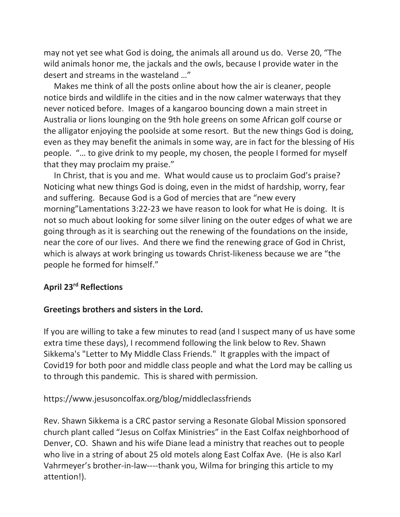may not yet see what God is doing, the animals all around us do. Verse 20, "The wild animals honor me, the jackals and the owls, because I provide water in the desert and streams in the wasteland …"

 Makes me think of all the posts online about how the air is cleaner, people notice birds and wildlife in the cities and in the now calmer waterways that they never noticed before. Images of a kangaroo bouncing down a main street in Australia or lions lounging on the 9th hole greens on some African golf course or the alligator enjoying the poolside at some resort. But the new things God is doing, even as they may benefit the animals in some way, are in fact for the blessing of His people. "… to give drink to my people, my chosen, the people I formed for myself that they may proclaim my praise."

 In Christ, that is you and me. What would cause us to proclaim God's praise? Noticing what new things God is doing, even in the midst of hardship, worry, fear and suffering. Because God is a God of mercies that are "new every morning"Lamentations 3:22-23 we have reason to look for what He is doing. It is not so much about looking for some silver lining on the outer edges of what we are going through as it is searching out the renewing of the foundations on the inside, near the core of our lives. And there we find the renewing grace of God in Christ, which is always at work bringing us towards Christ-likeness because we are "the people he formed for himself."

# **April 23rd Reflections**

## **Greetings brothers and sisters in the Lord.**

If you are willing to take a few minutes to read (and I suspect many of us have some extra time these days), I recommend following the link below to Rev. Shawn Sikkema's "Letter to My Middle Class Friends." It grapples with the impact of Covid19 for both poor and middle class people and what the Lord may be calling us to through this pandemic. This is shared with permission.

# https://www.jesusoncolfax.org/blog/middleclassfriends

Rev. Shawn Sikkema is a CRC pastor serving a Resonate Global Mission sponsored church plant called "Jesus on Colfax Ministries" in the East Colfax neighborhood of Denver, CO. Shawn and his wife Diane lead a ministry that reaches out to people who live in a string of about 25 old motels along East Colfax Ave. (He is also Karl Vahrmeyer's brother-in-law----thank you, Wilma for bringing this article to my attention!).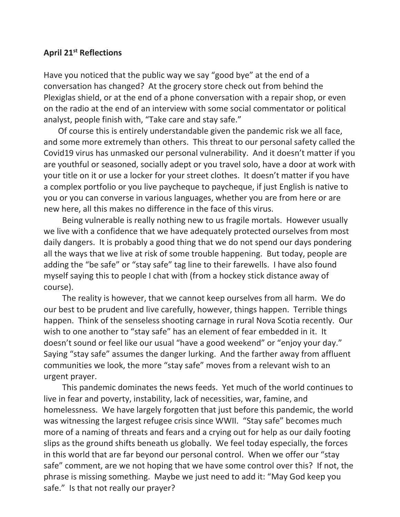# **April 21st Reflections**

Have you noticed that the public way we say "good bye" at the end of a conversation has changed? At the grocery store check out from behind the Plexiglas shield, or at the end of a phone conversation with a repair shop, or even on the radio at the end of an interview with some social commentator or political analyst, people finish with, "Take care and stay safe."

 Of course this is entirely understandable given the pandemic risk we all face, and some more extremely than others. This threat to our personal safety called the Covid19 virus has unmasked our personal vulnerability. And it doesn't matter if you are youthful or seasoned, socially adept or you travel solo, have a door at work with your title on it or use a locker for your street clothes. It doesn't matter if you have a complex portfolio or you live paycheque to paycheque, if just English is native to you or you can converse in various languages, whether you are from here or are new here, all this makes no difference in the face of this virus.

 Being vulnerable is really nothing new to us fragile mortals. However usually we live with a confidence that we have adequately protected ourselves from most daily dangers. It is probably a good thing that we do not spend our days pondering all the ways that we live at risk of some trouble happening. But today, people are adding the "be safe" or "stay safe" tag line to their farewells. I have also found myself saying this to people I chat with (from a hockey stick distance away of course).

 The reality is however, that we cannot keep ourselves from all harm. We do our best to be prudent and live carefully, however, things happen. Terrible things happen. Think of the senseless shooting carnage in rural Nova Scotia recently. Our wish to one another to "stay safe" has an element of fear embedded in it. It doesn't sound or feel like our usual "have a good weekend" or "enjoy your day." Saying "stay safe" assumes the danger lurking. And the farther away from affluent communities we look, the more "stay safe" moves from a relevant wish to an urgent prayer.

 This pandemic dominates the news feeds. Yet much of the world continues to live in fear and poverty, instability, lack of necessities, war, famine, and homelessness. We have largely forgotten that just before this pandemic, the world was witnessing the largest refugee crisis since WWII. "Stay safe" becomes much more of a naming of threats and fears and a crying out for help as our daily footing slips as the ground shifts beneath us globally. We feel today especially, the forces in this world that are far beyond our personal control. When we offer our "stay safe" comment, are we not hoping that we have some control over this? If not, the phrase is missing something. Maybe we just need to add it: "May God keep you safe." Is that not really our prayer?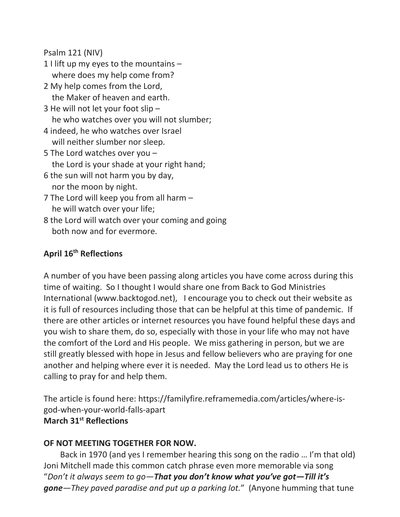Psalm 121 (NIV)

- 1 I lift up my eyes to the mountains where does my help come from?
- 2 My help comes from the Lord, the Maker of heaven and earth.
- 3 He will not let your foot slip he who watches over you will not slumber;
- 4 indeed, he who watches over Israel will neither slumber nor sleep.
- 5 The Lord watches over you the Lord is your shade at your right hand;
- 6 the sun will not harm you by day, nor the moon by night.
- 7 The Lord will keep you from all harm he will watch over your life;
- 8 the Lord will watch over your coming and going both now and for evermore.

# **April 16th Reflections**

A number of you have been passing along articles you have come across during this time of waiting. So I thought I would share one from Back to God Ministries International (www.backtogod.net), I encourage you to check out their website as it is full of resources including those that can be helpful at this time of pandemic. If there are other articles or internet resources you have found helpful these days and you wish to share them, do so, especially with those in your life who may not have the comfort of the Lord and His people. We miss gathering in person, but we are still greatly blessed with hope in Jesus and fellow believers who are praying for one another and helping where ever it is needed. May the Lord lead us to others He is calling to pray for and help them.

The article is found here: https://familyfire.reframemedia.com/articles/where-isgod-when-your-world-falls-apart **March 31st Reflections**

# **OF NOT MEETING TOGETHER FOR NOW.**

Back in 1970 (and yes I remember hearing this song on the radio … I'm that old) Joni Mitchell made this common catch phrase even more memorable via song "*Don't it always seem to go—That you don't know what you've got—Till it's gone—They paved paradise and put up a parking lot.*" (Anyone humming that tune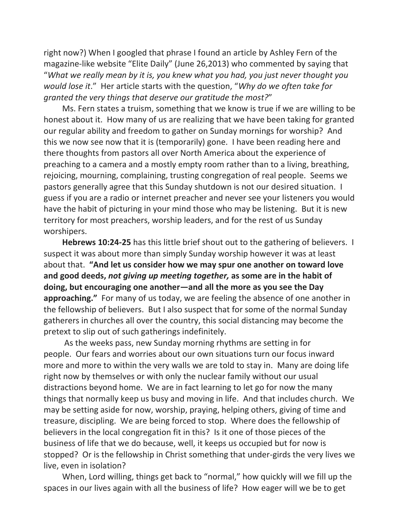right now?) When I googled that phrase I found an article by Ashley Fern of the magazine-like website "Elite Daily" (June 26,2013) who commented by saying that "*What we really mean by it is, you knew what you had, you just never thought you would lose it*." Her article starts with the question, "*Why do we often take for granted the very things that deserve our gratitude the most?*"

Ms. Fern states a truism, something that we know is true if we are willing to be honest about it. How many of us are realizing that we have been taking for granted our regular ability and freedom to gather on Sunday mornings for worship? And this we now see now that it is (temporarily) gone. I have been reading here and there thoughts from pastors all over North America about the experience of preaching to a camera and a mostly empty room rather than to a living, breathing, rejoicing, mourning, complaining, trusting congregation of real people. Seems we pastors generally agree that this Sunday shutdown is not our desired situation. I guess if you are a radio or internet preacher and never see your listeners you would have the habit of picturing in your mind those who may be listening. But it is new territory for most preachers, worship leaders, and for the rest of us Sunday worshipers.

**Hebrews 10:24-25** has this little brief shout out to the gathering of believers. I suspect it was about more than simply Sunday worship however it was at least about that. **"And let us consider how we may spur one another on toward love and good deeds,** *not giving up meeting together,* **as some are in the habit of doing, but encouraging one another—and all the more as you see the Day approaching."** For many of us today, we are feeling the absence of one another in the fellowship of believers. But I also suspect that for some of the normal Sunday gatherers in churches all over the country, this social distancing may become the pretext to slip out of such gatherings indefinitely.

As the weeks pass, new Sunday morning rhythms are setting in for people. Our fears and worries about our own situations turn our focus inward more and more to within the very walls we are told to stay in. Many are doing life right now by themselves or with only the nuclear family without our usual distractions beyond home. We are in fact learning to let go for now the many things that normally keep us busy and moving in life. And that includes church. We may be setting aside for now, worship, praying, helping others, giving of time and treasure, discipling. We are being forced to stop. Where does the fellowship of believers in the local congregation fit in this? Is it one of those pieces of the business of life that we do because, well, it keeps us occupied but for now is stopped? Or is the fellowship in Christ something that under-girds the very lives we live, even in isolation?

When, Lord willing, things get back to "normal," how quickly will we fill up the spaces in our lives again with all the business of life? How eager will we be to get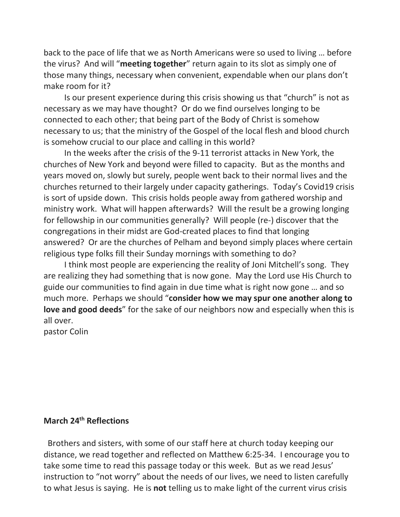back to the pace of life that we as North Americans were so used to living … before the virus? And will "**meeting together**" return again to its slot as simply one of those many things, necessary when convenient, expendable when our plans don't make room for it?

Is our present experience during this crisis showing us that "church" is not as necessary as we may have thought? Or do we find ourselves longing to be connected to each other; that being part of the Body of Christ is somehow necessary to us; that the ministry of the Gospel of the local flesh and blood church is somehow crucial to our place and calling in this world?

In the weeks after the crisis of the 9-11 terrorist attacks in New York, the churches of New York and beyond were filled to capacity. But as the months and years moved on, slowly but surely, people went back to their normal lives and the churches returned to their largely under capacity gatherings. Today's Covid19 crisis is sort of upside down. This crisis holds people away from gathered worship and ministry work. What will happen afterwards? Will the result be a growing longing for fellowship in our communities generally? Will people (re-) discover that the congregations in their midst are God-created places to find that longing answered? Or are the churches of Pelham and beyond simply places where certain religious type folks fill their Sunday mornings with something to do?

I think most people are experiencing the reality of Joni Mitchell's song. They are realizing they had something that is now gone. May the Lord use His Church to guide our communities to find again in due time what is right now gone … and so much more. Perhaps we should "**consider how we may spur one another along to love and good deeds**" for the sake of our neighbors now and especially when this is all over.

pastor Colin

# **March 24th Reflections**

Brothers and sisters, with some of our staff here at church today keeping our distance, we read together and reflected on Matthew 6:25-34. I encourage you to take some time to read this passage today or this week. But as we read Jesus' instruction to "not worry" about the needs of our lives, we need to listen carefully to what Jesus is saying. He is **not** telling us to make light of the current virus crisis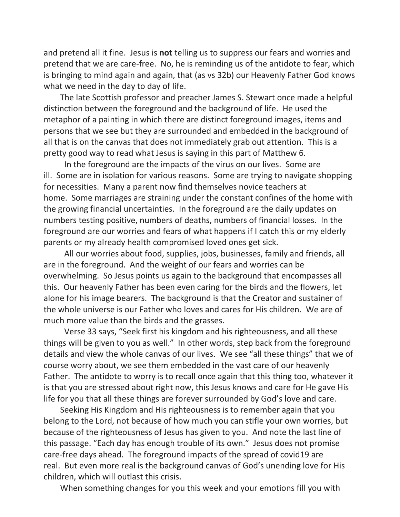and pretend all it fine. Jesus is **not** telling us to suppress our fears and worries and pretend that we are care-free. No, he is reminding us of the antidote to fear, which is bringing to mind again and again, that (as vs 32b) our Heavenly Father God knows what we need in the day to day of life.

The late Scottish professor and preacher James S. Stewart once made a helpful distinction between the foreground and the background of life. He used the metaphor of a painting in which there are distinct foreground images, items and persons that we see but they are surrounded and embedded in the background of all that is on the canvas that does not immediately grab out attention. This is a pretty good way to read what Jesus is saying in this part of Matthew 6.

In the foreground are the impacts of the virus on our lives. Some are ill. Some are in isolation for various reasons. Some are trying to navigate shopping for necessities. Many a parent now find themselves novice teachers at home. Some marriages are straining under the constant confines of the home with the growing financial uncertainties. In the foreground are the daily updates on numbers testing positive, numbers of deaths, numbers of financial losses. In the foreground are our worries and fears of what happens if I catch this or my elderly parents or my already health compromised loved ones get sick.

All our worries about food, supplies, jobs, businesses, family and friends, all are in the foreground. And the weight of our fears and worries can be overwhelming. So Jesus points us again to the background that encompasses all this. Our heavenly Father has been even caring for the birds and the flowers, let alone for his image bearers. The background is that the Creator and sustainer of the whole universe is our Father who loves and cares for His children. We are of much more value than the birds and the grasses.

Verse 33 says, "Seek first his kingdom and his righteousness, and all these things will be given to you as well." In other words, step back from the foreground details and view the whole canvas of our lives. We see "all these things" that we of course worry about, we see them embedded in the vast care of our heavenly Father. The antidote to worry is to recall once again that this thing too, whatever it is that you are stressed about right now, this Jesus knows and care for He gave His life for you that all these things are forever surrounded by God's love and care.

Seeking His Kingdom and His righteousness is to remember again that you belong to the Lord, not because of how much you can stifle your own worries, but because of the righteousness of Jesus has given to you. And note the last line of this passage. "Each day has enough trouble of its own." Jesus does not promise care-free days ahead. The foreground impacts of the spread of covid19 are real. But even more real is the background canvas of God's unending love for His children, which will outlast this crisis.

When something changes for you this week and your emotions fill you with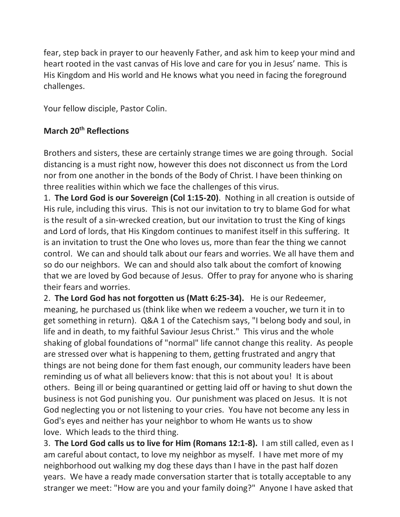fear, step back in prayer to our heavenly Father, and ask him to keep your mind and heart rooted in the vast canvas of His love and care for you in Jesus' name. This is His Kingdom and His world and He knows what you need in facing the foreground challenges.

Your fellow disciple, Pastor Colin.

# **March 20th Reflections**

Brothers and sisters, these are certainly strange times we are going through. Social distancing is a must right now, however this does not disconnect us from the Lord nor from one another in the bonds of the Body of Christ. I have been thinking on three realities within which we face the challenges of this virus.

1. **The Lord God is our Sovereign (Col 1:15-20)**. Nothing in all creation is outside of His rule, including this virus. This is not our invitation to try to blame God for what is the result of a sin-wrecked creation, but our invitation to trust the King of kings and Lord of lords, that His Kingdom continues to manifest itself in this suffering. It is an invitation to trust the One who loves us, more than fear the thing we cannot control. We can and should talk about our fears and worries. We all have them and so do our neighbors. We can and should also talk about the comfort of knowing that we are loved by God because of Jesus. Offer to pray for anyone who is sharing their fears and worries.

2. **The Lord God has not forgotten us (Matt 6:25-34).** He is our Redeemer, meaning, he purchased us (think like when we redeem a voucher, we turn it in to get something in return). Q&A 1 of the Catechism says, "I belong body and soul, in life and in death, to my faithful Saviour Jesus Christ." This virus and the whole shaking of global foundations of "normal" life cannot change this reality. As people are stressed over what is happening to them, getting frustrated and angry that things are not being done for them fast enough, our community leaders have been reminding us of what all believers know: that this is not about you! It is about others. Being ill or being quarantined or getting laid off or having to shut down the business is not God punishing you. Our punishment was placed on Jesus. It is not God neglecting you or not listening to your cries. You have not become any less in God's eyes and neither has your neighbor to whom He wants us to show love. Which leads to the third thing.

3. **The Lord God calls us to live for Him (Romans 12:1-8).** I am still called, even as I am careful about contact, to love my neighbor as myself. I have met more of my neighborhood out walking my dog these days than I have in the past half dozen years. We have a ready made conversation starter that is totally acceptable to any stranger we meet: "How are you and your family doing?" Anyone I have asked that